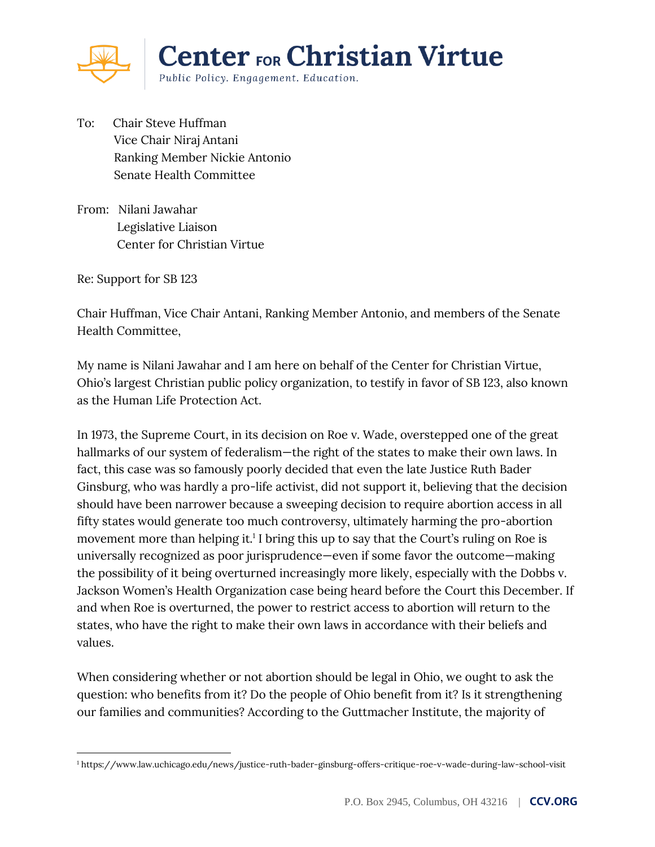

- To: Chair Steve Huffman Vice Chair Niraj Antani Ranking Member Nickie Antonio Senate Health Committee
- From: Nilani Jawahar Legislative Liaison Center for Christian Virtue

Re: Support for SB 123

Chair Huffman, Vice Chair Antani, Ranking Member Antonio, and members of the Senate Health Committee,

My name is Nilani Jawahar and I am here on behalf of the Center for Christian Virtue, Ohio's largest Christian public policy organization, to testify in favor of SB 123, also known as the Human Life Protection Act.

In 1973, the Supreme Court, in its decision on Roe v. Wade, overstepped one of the great hallmarks of our system of federalism—the right of the states to make their own laws. In fact, this case was so famously poorly decided that even the late Justice Ruth Bader Ginsburg, who was hardly a pro-life activist, did not support it, believing that the decision should have been narrower because a sweeping decision to require abortion access in all fifty states would generate too much controversy, ultimately harming the pro-abortion movement more than helping it.<sup>1</sup> I bring this up to say that the Court's ruling on Roe is universally recognized as poor jurisprudence—even if some favor the outcome—making the possibility of it being overturned increasingly more likely, especially with the Dobbs v. Jackson Women's Health Organization case being heard before the Court this December. If and when Roe is overturned, the power to restrict access to abortion will return to the states, who have the right to make their own laws in accordance with their beliefs and values.

When considering whether or not abortion should be legal in Ohio, we ought to ask the question: who benefits from it? Do the people of Ohio benefit from it? Is it strengthening our families and communities? According to the Guttmacher Institute, the majority of

 $\overline{a}$ <sup>1</sup> https://www.law.uchicago.edu/news/justice-ruth-bader-ginsburg-offers-critique-roe-v-wade-during-law-school-visit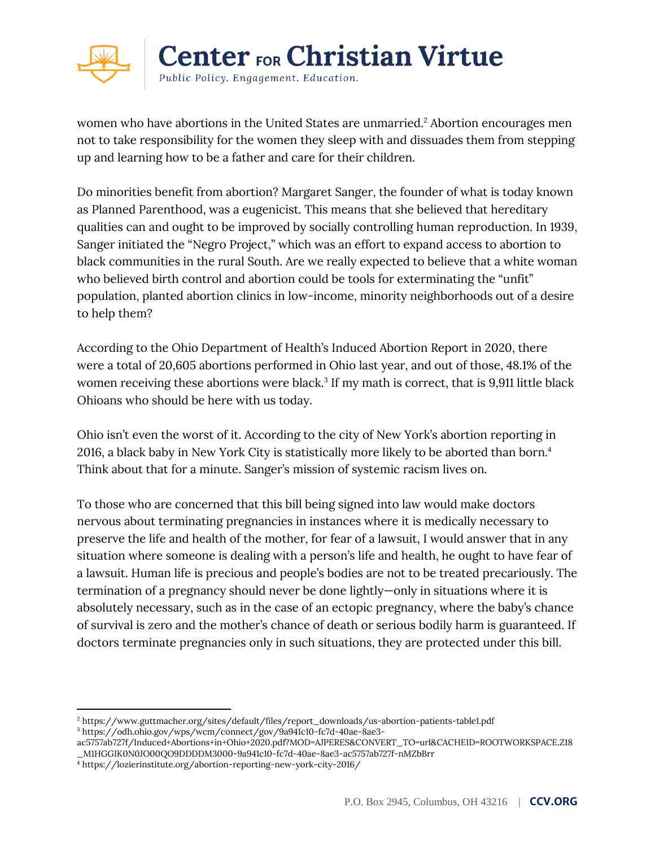

women who have abortions in the United States are unmarried.<sup>2</sup> Abortion encourages men not to take responsibility for the women they sleep with and dissuades them from stepping up and learning how to be a father and care for their children.

Do minorities benefit from abortion? Margaret Sanger, the founder of what is today known as Planned Parenthood, was a eugenicist. This means that she believed that hereditary qualities can and ought to be improved by socially controlling human reproduction. In 1939, Sanger initiated the "Negro Project," which was an effort to expand access to abortion to black communities in the rural South. Are we really expected to believe that a white woman who believed birth control and abortion could be tools for exterminating the "unfit" population, planted abortion clinics in low-income, minority neighborhoods out of a desire to help them?

According to the Ohio Department of Health's Induced Abortion Report in 2020, there were a total of 20,605 abortions performed in Ohio last year, and out of those, 48.1% of the women receiving these abortions were black.<sup>3</sup> If my math is correct, that is 9,911 little black Ohioans who should be here with us today.

Ohio isn't even the worst of it. According to the city of New York's abortion reporting in 2016, a black baby in New York City is statistically more likely to be aborted than born.<sup>4</sup> Think about that for a minute. Sanger's mission of systemic racism lives on.

To those who are concerned that this bill being signed into law would make doctors nervous about terminating pregnancies in instances where it is medically necessary to preserve the life and health of the mother, for fear of a lawsuit, I would answer that in any situation where someone is dealing with a person's life and health, he ought to have fear of a lawsuit. Human life is precious and people's bodies are not to be treated precariously. The termination of a pregnancy should never be done lightly—only in situations where it is absolutely necessary, such as in the case of an ectopic pregnancy, where the baby's chance of survival is zero and the mother's chance of death or serious bodily harm is guaranteed. If doctors terminate pregnancies only in such situations, they are protected under this bill.

 $\overline{a}$ 

<sup>2</sup> https://www.guttmacher.org/sites/default/files/report\_downloads/us-abortion-patients-table1.pdf

<sup>3</sup> https://odh.ohio.gov/wps/wcm/connect/gov/9a941c10-fc7d-40ae-8ae3-

ac5757ab727f/Induced+Abortions+in+Ohio+2020.pdf?MOD=AJPERES&CONVERT\_TO=url&CACHEID=ROOTWORKSPACE.Z18 \_M1HGGIK0N0JO00QO9DDDDM3000-9a941c10-fc7d-40ae-8ae3-ac5757ab727f-nMZbBrr

<sup>4</sup> https://lozierinstitute.org/abortion-reporting-new-york-city-2016/